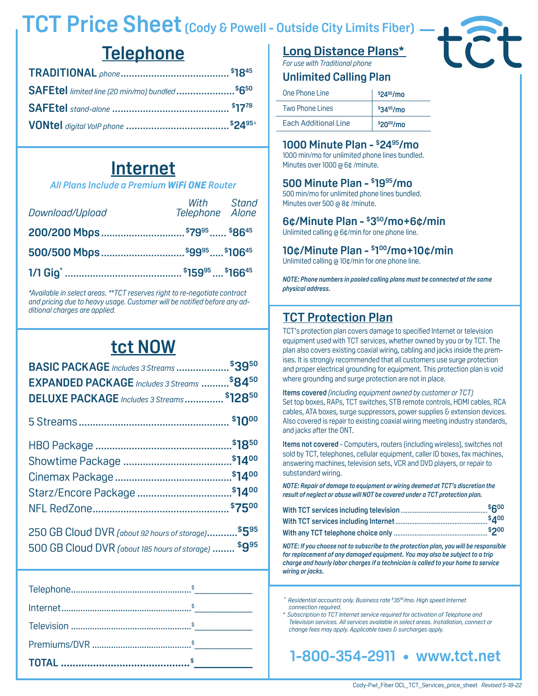# **TCT Price Sheet (Cody & Powell - Outside City Limits Fiber)**

## **Telephone**

| SAFEtel limited line (20 min/mo) bundled\$650 |  |
|-----------------------------------------------|--|
|                                               |  |
|                                               |  |

### **Internet**

*All Plans Include a Premium WiFi ONE Router*

| Download/Upload                                                | With Stand<br>Telephone Alone |  |
|----------------------------------------------------------------|-------------------------------|--|
|                                                                |                               |  |
| 500/500 Mbps\$99 <sup>95</sup> <sup>\$</sup> 106 <sup>45</sup> |                               |  |
|                                                                |                               |  |

*\*Available in select areas. \*\*TCT reserves right to re-negotiate contract and pricing due to heavy usage. Customer will be notified before any additional charges are applied.*

## **tct NOW**

| BASIC PACKAGE Includes 3 Streams \$3950<br>EXPANDED PACKAGE Includes 3 Streams  \$8450<br>DELUXE PACKAGE Includes 3 Streams <sup>\$</sup> 128 <sup>50</sup> |  |
|-------------------------------------------------------------------------------------------------------------------------------------------------------------|--|
|                                                                                                                                                             |  |
|                                                                                                                                                             |  |
|                                                                                                                                                             |  |
|                                                                                                                                                             |  |
|                                                                                                                                                             |  |
|                                                                                                                                                             |  |
| 250 GB Cloud DVR (about 92 hours of storage) \$595                                                                                                          |  |
| 500 GB Cloud DVR (about 185 hours of storage)  \$995                                                                                                        |  |

#### **Long Distance Plans\***

*For use with Traditional phone*

#### **Unlimited Calling Plan**

| One Phone Line              | $$24^{95}/m0$   |
|-----------------------------|-----------------|
| Two Phone Lines             | $$34^{95}/m0$   |
| <b>Each Additional Line</b> | $$20^{00}/m_0$$ |

#### **1000 Minute Plan - \$2495/mo**

1000 min/mo for unlimited phone lines bundled. Minutes over 1000 @ 6¢ /minute.

#### **500 Minute Plan - \$1995/mo**

500 min/mo for unlimited phone lines bundled. Minutes over 500 @ 8¢ /minute.

#### **6¢/Minute Plan - \$ 350/mo+6¢/min**

Unlimited calling @ 6¢/min for one phone line.

#### **10¢/Minute Plan - \$100/mo+10¢/min**

Unlimited calling @ 10¢/min for one phone line.

*NOTE: Phone numbers in pooled calling plans must be connected at the same physical address.* 

### **TCT Protection Plan**

TCT's protection plan covers damage to specified Internet or television equipment used with TCT services, whether owned by you or by TCT. The plan also covers existing coaxial wiring, cabling and jacks inside the premises. It is strongly recommended that all customers use surge protection and proper electrical grounding for equipment. This protection plan is void where grounding and surge protection are not in place.

**Items covered** *(including equipment owned by customer or TCT)* Set top boxes, RAPs, TCT switches, STB remote controls, HDMI cables, RCA cables, ATA boxes, surge suppressors, power supplies & extension devices. Also covered is repair to existing coaxial wiring meeting industry standards, and jacks after the ONT.

**Items not covered** - Computers, routers (including wireless), switches not sold by TCT, telephones, cellular equipment, caller ID boxes, fax machines, answering machines, television sets, VCR and DVD players, or repair to substandard wiring.

*NOTE: Repair of damage to equipment or wiring deemed at TCT's discretion the result of neglect or abuse will NOT be covered under a TCT protection plan.*

| $$4^{00}$ |
|-----------|
|           |

*NOTE: If you choose not to subscribe to the protection plan, you will be responsible for replacement of any damaged equipment. You may also be subject to a trip charge and hourly labor charges if a technician is called to your home to service wiring or jacks.*

*+ Residential accounts only. Business rate \$3595/mo. High speed Internet connection required.*

*\* Subscription to TCT Internet service required for activation of Telephone and Television services. All services available in select areas. Installation, connect or change fees may apply. Applicable taxes & surcharges apply.*

**1-800-354-2911 • www.tct.net**